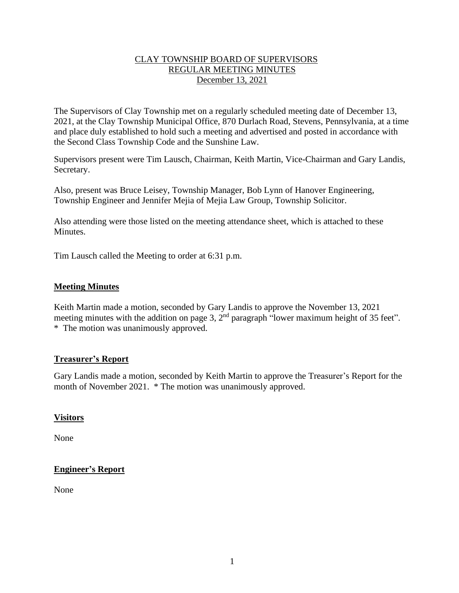## CLAY TOWNSHIP BOARD OF SUPERVISORS REGULAR MEETING MINUTES December 13, 2021

The Supervisors of Clay Township met on a regularly scheduled meeting date of December 13, 2021, at the Clay Township Municipal Office, 870 Durlach Road, Stevens, Pennsylvania, at a time and place duly established to hold such a meeting and advertised and posted in accordance with the Second Class Township Code and the Sunshine Law.

Supervisors present were Tim Lausch, Chairman, Keith Martin, Vice-Chairman and Gary Landis, Secretary.

Also, present was Bruce Leisey, Township Manager, Bob Lynn of Hanover Engineering, Township Engineer and Jennifer Mejia of Mejia Law Group, Township Solicitor.

Also attending were those listed on the meeting attendance sheet, which is attached to these Minutes.

Tim Lausch called the Meeting to order at 6:31 p.m.

### **Meeting Minutes**

Keith Martin made a motion, seconded by Gary Landis to approve the November 13, 2021 meeting minutes with the addition on page 3,  $2<sup>nd</sup>$  paragraph "lower maximum height of 35 feet". \* The motion was unanimously approved.

### **Treasurer's Report**

Gary Landis made a motion, seconded by Keith Martin to approve the Treasurer's Report for the month of November 2021. \* The motion was unanimously approved.

### **Visitors**

None

# **Engineer's Report**

None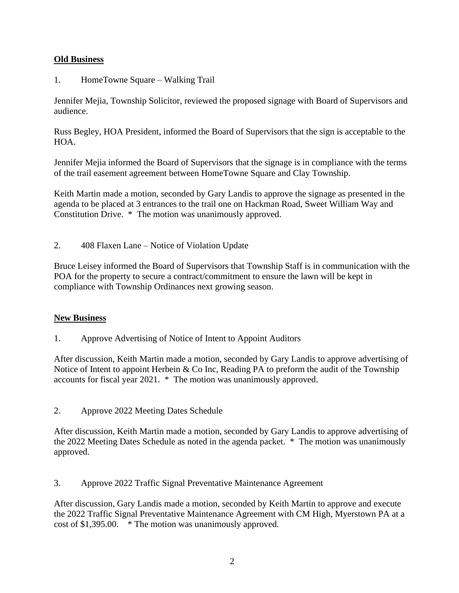# **Old Business**

1. HomeTowne Square – Walking Trail

Jennifer Mejia, Township Solicitor, reviewed the proposed signage with Board of Supervisors and audience.

Russ Begley, HOA President, informed the Board of Supervisors that the sign is acceptable to the HOA.

Jennifer Mejia informed the Board of Supervisors that the signage is in compliance with the terms of the trail easement agreement between HomeTowne Square and Clay Township.

Keith Martin made a motion, seconded by Gary Landis to approve the signage as presented in the agenda to be placed at 3 entrances to the trail one on Hackman Road, Sweet William Way and Constitution Drive. \* The motion was unanimously approved.

2. 408 Flaxen Lane – Notice of Violation Update

Bruce Leisey informed the Board of Supervisors that Township Staff is in communication with the POA for the property to secure a contract/commitment to ensure the lawn will be kept in compliance with Township Ordinances next growing season.

### **New Business**

1. Approve Advertising of Notice of Intent to Appoint Auditors

After discussion, Keith Martin made a motion, seconded by Gary Landis to approve advertising of Notice of Intent to appoint Herbein & Co Inc, Reading PA to preform the audit of the Township accounts for fiscal year 2021. \* The motion was unanimously approved.

2. Approve 2022 Meeting Dates Schedule

After discussion, Keith Martin made a motion, seconded by Gary Landis to approve advertising of the 2022 Meeting Dates Schedule as noted in the agenda packet. \* The motion was unanimously approved.

3. Approve 2022 Traffic Signal Preventative Maintenance Agreement

After discussion, Gary Landis made a motion, seconded by Keith Martin to approve and execute the 2022 Traffic Signal Preventative Maintenance Agreement with CM High, Myerstown PA at a cost of \$1,395.00. \* The motion was unanimously approved.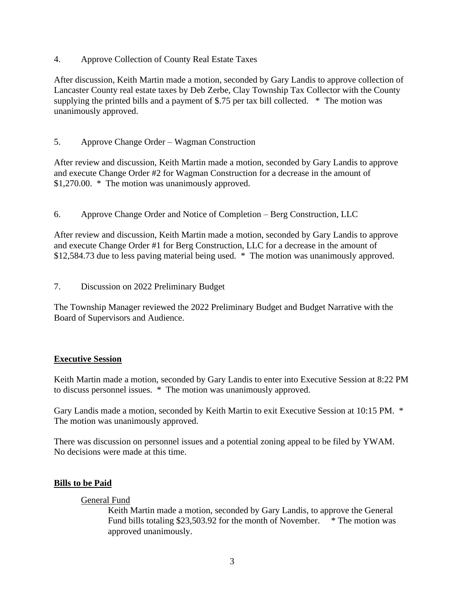4. Approve Collection of County Real Estate Taxes

After discussion, Keith Martin made a motion, seconded by Gary Landis to approve collection of Lancaster County real estate taxes by Deb Zerbe, Clay Township Tax Collector with the County supplying the printed bills and a payment of \$.75 per tax bill collected. \* The motion was unanimously approved.

5. Approve Change Order – Wagman Construction

After review and discussion, Keith Martin made a motion, seconded by Gary Landis to approve and execute Change Order #2 for Wagman Construction for a decrease in the amount of \$1,270.00. \* The motion was unanimously approved.

6. Approve Change Order and Notice of Completion – Berg Construction, LLC

After review and discussion, Keith Martin made a motion, seconded by Gary Landis to approve and execute Change Order #1 for Berg Construction, LLC for a decrease in the amount of \$12,584.73 due to less paving material being used. \* The motion was unanimously approved.

7. Discussion on 2022 Preliminary Budget

The Township Manager reviewed the 2022 Preliminary Budget and Budget Narrative with the Board of Supervisors and Audience.

### **Executive Session**

Keith Martin made a motion, seconded by Gary Landis to enter into Executive Session at 8:22 PM to discuss personnel issues. \* The motion was unanimously approved.

Gary Landis made a motion, seconded by Keith Martin to exit Executive Session at 10:15 PM. \* The motion was unanimously approved.

There was discussion on personnel issues and a potential zoning appeal to be filed by YWAM. No decisions were made at this time.

### **Bills to be Paid**

### General Fund

Keith Martin made a motion, seconded by Gary Landis, to approve the General Fund bills totaling \$23,503.92 for the month of November. \* The motion was approved unanimously.